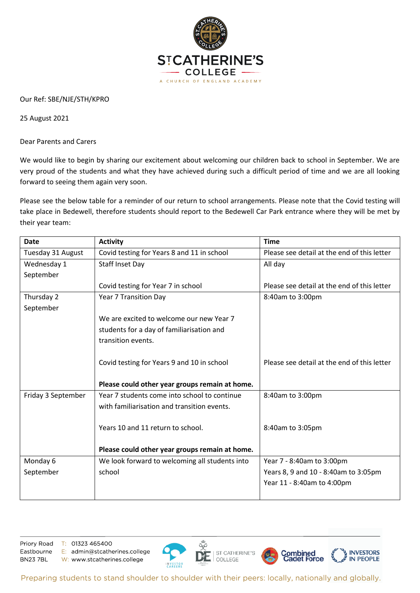

## Our Ref: SBE/NJE/STH/KPRO

25 August 2021

Dear Parents and Carers

We would like to begin by sharing our excitement about welcoming our children back to school in September. We are very proud of the students and what they have achieved during such a difficult period of time and we are all looking forward to seeing them again very soon.

Please see the below table for a reminder of our return to school arrangements. Please note that the Covid testing will take place in Bedewell, therefore students should report to the Bedewell Car Park entrance where they will be met by their year team:

| <b>Date</b>        | <b>Activity</b>                                | <b>Time</b>                                 |
|--------------------|------------------------------------------------|---------------------------------------------|
| Tuesday 31 August  | Covid testing for Years 8 and 11 in school     | Please see detail at the end of this letter |
| Wednesday 1        | <b>Staff Inset Day</b>                         | All day                                     |
| September          |                                                |                                             |
|                    | Covid testing for Year 7 in school             | Please see detail at the end of this letter |
| Thursday 2         | Year 7 Transition Day                          | 8:40am to 3:00pm                            |
| September          |                                                |                                             |
|                    | We are excited to welcome our new Year 7       |                                             |
|                    | students for a day of familiarisation and      |                                             |
|                    | transition events.                             |                                             |
|                    |                                                |                                             |
|                    | Covid testing for Years 9 and 10 in school     | Please see detail at the end of this letter |
|                    |                                                |                                             |
|                    | Please could other year groups remain at home. |                                             |
| Friday 3 September | Year 7 students come into school to continue   | 8:40am to 3:00pm                            |
|                    | with familiarisation and transition events.    |                                             |
|                    |                                                |                                             |
|                    | Years 10 and 11 return to school.              | 8:40am to 3:05pm                            |
|                    |                                                |                                             |
|                    | Please could other year groups remain at home. |                                             |
| Monday 6           | We look forward to welcoming all students into | Year 7 - 8:40am to 3:00pm                   |
| September          | school                                         | Years 8, 9 and 10 - 8:40am to 3:05pm        |
|                    |                                                | Year 11 - 8:40am to 4:00pm                  |
|                    |                                                |                                             |

Priory Road Eastbourne **BN237BL** 

T: 01323 465400 E: admin@stcatherines.college W: www.stcatherines.college



Preparing students to stand shoulder to shoulder with their peers: locally, nationally and globally.

ST CATHERINE'S

COLLEGE

**Combined**<br>Cadet Force

**INVESTORS** 

**IN PEOPLE**